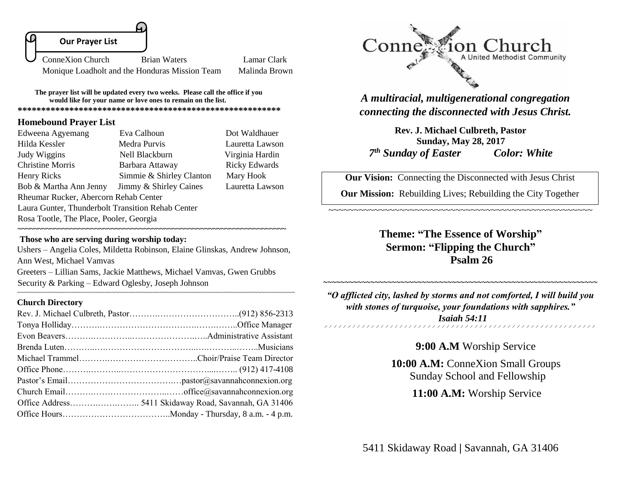

Monique Loadholt and the Honduras Mission Team Malinda Brown

**The prayer list will be updated every two weeks. Please call the office if you would like for your name or love ones to remain on the list. \*\*\*\*\*\*\*\*\*\*\*\*\*\*\*\*\*\*\*\*\*\*\*\*\*\*\*\*\*\*\*\*\*\*\*\*\*\*\*\*\*\*\*\*\*\*\*\*\*\*\*\*\*\*\*\***

**Homebound Prayer List**

| Edweena Agyemang                                  | Eva Calhoun              | Dot Waldhauer        |  |
|---------------------------------------------------|--------------------------|----------------------|--|
| Hilda Kessler                                     | Medra Purvis             | Lauretta Lawson      |  |
| Judy Wiggins                                      | Nell Blackburn           | Virginia Hardin      |  |
| <b>Christine Morris</b>                           | Barbara Attaway          | <b>Ricky Edwards</b> |  |
| Henry Ricks                                       | Simmie & Shirley Clanton | Mary Hook            |  |
| Bob & Martha Ann Jenny                            | Jimmy & Shirley Caines   | Lauretta Lawson      |  |
| Rheumar Rucker, Abercorn Rehab Center             |                          |                      |  |
| Laura Gunter, Thunderbolt Transition Rehab Center |                          |                      |  |
| Rosa Tootle, The Place, Pooler, Georgia           |                          |                      |  |

#### **Those who are serving during worship today:**

Ushers – Angelia Coles, Mildetta Robinson, Elaine Glinskas, Andrew Johnson, Ann West, Michael Vamvas Greeters – Lillian Sams, Jackie Matthews, Michael Vamvas, Gwen Grubbs Security & Parking – Edward Oglesby, Joseph Johnson

~~~~~~~~~~~~~~~~~~~~~~~~~~~~~~~~~~~~~~~~~~~~~~~~~~~~~~~~~~~~~~~~~~~~~~~~~~~~~~~~~~

**~~~~~~~~~~~~~~~~~~~~~~~~~~~~~~~~~~~~~~~~~~~~~~~~~~~~~~~~~~~~~~~~~~**

#### **Church Directory**



*A multiracial, multigenerational congregation connecting the disconnected with Jesus Christ.*

**Rev. J. Michael Culbreth, Pastor Sunday, May 28, 2017**  *7 th Sunday of Easter Color: White*

**Our Vision:** Connecting the Disconnected with Jesus Christ

**Our Mission:** Rebuilding Lives; Rebuilding the City Together

~~~~~~~~~~~~~~~~~~~~~~~~~~~~~~~~~~~~~~~~~~~~~~~~~~~~

**Theme: "The Essence of Worship" Sermon: "Flipping the Church" Psalm 26**

*"O afflicted city, lashed by storms and not comforted, I will build you with stones of turquoise, your foundations with sapphires." Isaiah 54:11* 

~~~~~~~~~~~~~~~~~~~~~~~~~~~~~~~~~~~~~~~~~~~~~~~~~~~~~~~~~~~~~~~~

**9:00 A.M** Worship Service

**10:00 A.M:** ConneXion Small Groups Sunday School and Fellowship

 **11:00 A.M:** Worship Service

5411 Skidaway Road **|** Savannah, GA 31406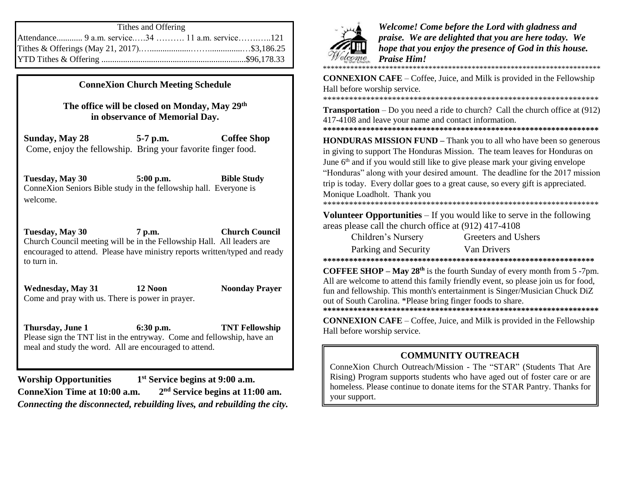| Tithes and Offering                             |  |  |
|-------------------------------------------------|--|--|
| Attendance 9 a.m. service34  11 a.m. service121 |  |  |
|                                                 |  |  |
|                                                 |  |  |

**ConneXion Church Meeting Schedule**

**The office will be closed on Monday, May 29th in observance of Memorial Day.**

**Sunday, May 28 5-7 p.m. Coffee Shop**  Come, enjoy the fellowship. Bring your favorite finger food.

**Tuesday, May 30 5:00 p.m. Bible Study** ConneXion Seniors Bible study in the fellowship hall. Everyone is welcome.

**Tuesday, May 30 7 p.m. Church Council**  Church Council meeting will be in the Fellowship Hall. All leaders are encouraged to attend. Please have ministry reports written/typed and ready to turn in.

**Wednesday, May 31 12 Noon Noonday Prayer** Come and pray with us. There is power in prayer.

**Thursday, June 1 6:30 p.m. TNT Fellowship** Please sign the TNT list in the entryway. Come and fellowship, have an meal and study the word. All are encouraged to attend.

**Worship Opportunities 1 st Service begins at 9:00 a.m. ConneXion Time at 10:00 a.m. 2 nd Service begins at 11:00 am.** *Connecting the disconnected, rebuilding lives, and rebuilding the city.*



*Welcome! Come before the Lord with gladness and praise. We are delighted that you are here today. We hope that you enjoy the presence of God in this house. Praise Him!* 

\*\*\*\*\*\*\*\*\*\*\*\*\*\*\*\*\*\*\*\*\*\*\*\*\*\*\*\*\*\*\*\*\*\*\*\*\*\*\*\*\*\*\*\*\*\*\*\*\*\*\*\*\*\*\*\*\*\*\*\*\*\*\*\*\*\*\*\*\*\*\*

**CONNEXION CAFE** – Coffee, Juice, and Milk is provided in the Fellowship Hall before worship service.

\*\*\*\*\*\*\*\*\*\*\*\*\*\*\*\*\*\*\*\*\*\*\*\*\*\*\*\*\*\*\*\*\*\*\*\*\*\*\*\*\*\*\*\*\*\*\*\*\*\*\*\*\*\*\*\*\*\*\*\*\*\*\*\*

**Transportation** – Do you need a ride to church? Call the church office at (912) 417-4108 and leave your name and contact information.

**\*\*\*\*\*\*\*\*\*\*\*\*\*\*\*\*\*\*\*\*\*\*\*\*\*\*\*\*\*\*\*\*\*\*\*\*\*\*\*\*\*\*\*\*\*\*\*\*\*\*\*\*\*\*\*\*\*\*\*\*\*\*\*\***

**HONDURAS MISSION FUND** – Thank you to all who have been so generous in giving to support The Honduras Mission. The team leaves for Honduras on June  $6<sup>th</sup>$  and if you would still like to give please mark your giving envelope "Honduras" along with your desired amount. The deadline for the 2017 mission trip is today. Every dollar goes to a great cause, so every gift is appreciated. Monique Loadholt. Thank you

\*\*\*\*\*\*\*\*\*\*\*\*\*\*\*\*\*\*\*\*\*\*\*\*\*\*\*\*\*\*\*\*\*\*\*\*\*\*\*\*\*\*\*\*\*\*\*\*\*\*\*\*\*\*\*\*\*\*\*\*\*\*\*\*

**Volunteer Opportunities** – If you would like to serve in the following areas please call the church office at (912) 417-4108

| Children's Nursery   | Greeters and Ushers |
|----------------------|---------------------|
| Parking and Security | Van Drivers         |

Van Drivers

**\*\*\*\*\*\*\*\*\*\*\*\*\*\*\*\*\*\*\*\*\*\*\*\*\*\*\*\*\*\*\*\*\*\*\*\*\*\*\*\*\*\*\*\*\*\*\*\*\*\*\*\*\*\*\*\*\*\*\*\*\*\*\***

**COFFEE SHOP – May 28th** is the fourth Sunday of every month from 5 -7pm. All are welcome to attend this family friendly event, so please join us for food, fun and fellowship. This month's entertainment is Singer/Musician Chuck DiZ out of South Carolina. \*Please bring finger foods to share.

**\*\*\*\*\*\*\*\*\*\*\*\*\*\*\*\*\*\*\*\*\*\*\*\*\*\*\*\*\*\*\*\*\*\*\*\*\*\*\*\*\*\*\*\*\*\*\*\*\*\*\*\*\*\*\*\*\*\*\*\*\*\*\*\* CONNEXION CAFE** – Coffee, Juice, and Milk is provided in the Fellowship Hall before worship service.

## **COMMUNITY OUTREACH**

ConneXion Church Outreach/Mission - The "STAR" (Students That Are Rising) Program supports students who have aged out of foster care or are homeless. Please continue to donate items for the STAR Pantry. Thanks for your support.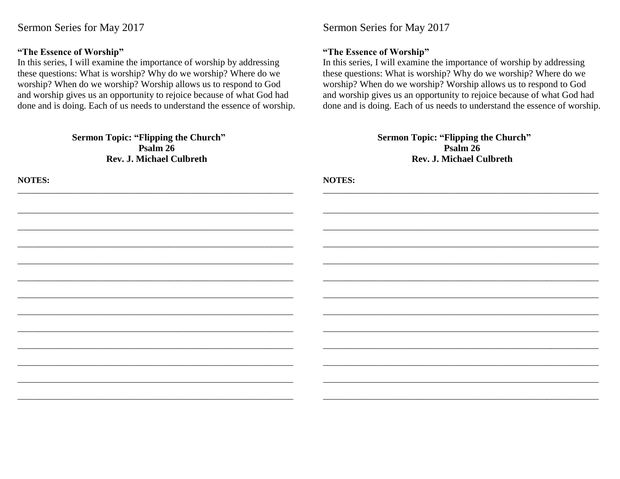#### **"The Essence of Worship"**

In this series, I will examine the importance of worship by addressing these questions: What is worship? Why do we worship? Where do we worship? When do we worship? Worship allows us to respond to God and worship gives us an opportunity to rejoice because of what God had done and is doing. Each of us needs to understand the essence of worship.

> **Sermon Topic: "Flipping the Church" Psalm 26 Rev. J. Michael Culbreth**

\_\_\_\_\_\_\_\_\_\_\_\_\_\_\_\_\_\_\_\_\_\_\_\_\_\_\_\_\_\_\_\_\_\_\_\_\_\_\_\_\_\_\_\_\_\_\_\_\_\_\_\_\_\_\_\_\_\_\_\_\_\_\_\_

\_\_\_\_\_\_\_\_\_\_\_\_\_\_\_\_\_\_\_\_\_\_\_\_\_\_\_\_\_\_\_\_\_\_\_\_\_\_\_\_\_\_\_\_\_\_\_\_\_\_\_\_\_\_\_\_\_\_\_\_\_\_\_\_

\_\_\_\_\_\_\_\_\_\_\_\_\_\_\_\_\_\_\_\_\_\_\_\_\_\_\_\_\_\_\_\_\_\_\_\_\_\_\_\_\_\_\_\_\_\_\_\_\_\_\_\_\_\_\_\_\_\_\_\_\_\_\_\_

\_\_\_\_\_\_\_\_\_\_\_\_\_\_\_\_\_\_\_\_\_\_\_\_\_\_\_\_\_\_\_\_\_\_\_\_\_\_\_\_\_\_\_\_\_\_\_\_\_\_\_\_\_\_\_\_\_\_\_\_\_\_\_\_

\_\_\_\_\_\_\_\_\_\_\_\_\_\_\_\_\_\_\_\_\_\_\_\_\_\_\_\_\_\_\_\_\_\_\_\_\_\_\_\_\_\_\_\_\_\_\_\_\_\_\_\_\_\_\_\_\_\_\_\_\_\_\_\_

\_\_\_\_\_\_\_\_\_\_\_\_\_\_\_\_\_\_\_\_\_\_\_\_\_\_\_\_\_\_\_\_\_\_\_\_\_\_\_\_\_\_\_\_\_\_\_\_\_\_\_\_\_\_\_\_\_\_\_\_\_\_\_\_

\_\_\_\_\_\_\_\_\_\_\_\_\_\_\_\_\_\_\_\_\_\_\_\_\_\_\_\_\_\_\_\_\_\_\_\_\_\_\_\_\_\_\_\_\_\_\_\_\_\_\_\_\_\_\_\_\_\_\_\_\_\_\_\_

\_\_\_\_\_\_\_\_\_\_\_\_\_\_\_\_\_\_\_\_\_\_\_\_\_\_\_\_\_\_\_\_\_\_\_\_\_\_\_\_\_\_\_\_\_\_\_\_\_\_\_\_\_\_\_\_\_\_\_\_\_\_\_\_

\_\_\_\_\_\_\_\_\_\_\_\_\_\_\_\_\_\_\_\_\_\_\_\_\_\_\_\_\_\_\_\_\_\_\_\_\_\_\_\_\_\_\_\_\_\_\_\_\_\_\_\_\_\_\_\_\_\_\_\_\_\_\_\_

\_\_\_\_\_\_\_\_\_\_\_\_\_\_\_\_\_\_\_\_\_\_\_\_\_\_\_\_\_\_\_\_\_\_\_\_\_\_\_\_\_\_\_\_\_\_\_\_\_\_\_\_\_\_\_\_\_\_\_\_\_\_\_\_

\_\_\_\_\_\_\_\_\_\_\_\_\_\_\_\_\_\_\_\_\_\_\_\_\_\_\_\_\_\_\_\_\_\_\_\_\_\_\_\_\_\_\_\_\_\_\_\_\_\_\_\_\_\_\_\_\_\_\_\_\_\_\_\_

\_\_\_\_\_\_\_\_\_\_\_\_\_\_\_\_\_\_\_\_\_\_\_\_\_\_\_\_\_\_\_\_\_\_\_\_\_\_\_\_\_\_\_\_\_\_\_\_\_\_\_\_\_\_\_\_\_\_\_\_\_\_\_\_

\_\_\_\_\_\_\_\_\_\_\_\_\_\_\_\_\_\_\_\_\_\_\_\_\_\_\_\_\_\_\_\_\_\_\_\_\_\_\_\_\_\_\_\_\_\_\_\_\_\_\_\_\_\_\_\_\_\_\_\_\_\_\_\_

**NOTES:**

## Sermon Series for May 2017

### **"The Essence of Worship"**

In this series, I will examine the importance of worship by addressing these questions: What is worship? Why do we worship? Where do we worship? When do we worship? Worship allows us to respond to God and worship gives us an opportunity to rejoice because of what God had done and is doing. Each of us needs to understand the essence of worship.

| Sermon Topic: "Flipping the Church" |
|-------------------------------------|
| Psalm 26                            |
| <b>Rev. J. Michael Culbreth</b>     |

\_\_\_\_\_\_\_\_\_\_\_\_\_\_\_\_\_\_\_\_\_\_\_\_\_\_\_\_\_\_\_\_\_\_\_\_\_\_\_\_\_\_\_\_\_\_\_\_\_\_\_\_\_\_\_\_\_\_\_\_\_\_\_\_

\_\_\_\_\_\_\_\_\_\_\_\_\_\_\_\_\_\_\_\_\_\_\_\_\_\_\_\_\_\_\_\_\_\_\_\_\_\_\_\_\_\_\_\_\_\_\_\_\_\_\_\_\_\_\_\_\_\_\_\_\_\_\_\_

\_\_\_\_\_\_\_\_\_\_\_\_\_\_\_\_\_\_\_\_\_\_\_\_\_\_\_\_\_\_\_\_\_\_\_\_\_\_\_\_\_\_\_\_\_\_\_\_\_\_\_\_\_\_\_\_\_\_\_\_\_\_\_\_

\_\_\_\_\_\_\_\_\_\_\_\_\_\_\_\_\_\_\_\_\_\_\_\_\_\_\_\_\_\_\_\_\_\_\_\_\_\_\_\_\_\_\_\_\_\_\_\_\_\_\_\_\_\_\_\_\_\_\_\_\_\_\_\_

\_\_\_\_\_\_\_\_\_\_\_\_\_\_\_\_\_\_\_\_\_\_\_\_\_\_\_\_\_\_\_\_\_\_\_\_\_\_\_\_\_\_\_\_\_\_\_\_\_\_\_\_\_\_\_\_\_\_\_\_\_\_\_\_

\_\_\_\_\_\_\_\_\_\_\_\_\_\_\_\_\_\_\_\_\_\_\_\_\_\_\_\_\_\_\_\_\_\_\_\_\_\_\_\_\_\_\_\_\_\_\_\_\_\_\_\_\_\_\_\_\_\_\_\_\_\_\_\_

\_\_\_\_\_\_\_\_\_\_\_\_\_\_\_\_\_\_\_\_\_\_\_\_\_\_\_\_\_\_\_\_\_\_\_\_\_\_\_\_\_\_\_\_\_\_\_\_\_\_\_\_\_\_\_\_\_\_\_\_\_\_\_\_

\_\_\_\_\_\_\_\_\_\_\_\_\_\_\_\_\_\_\_\_\_\_\_\_\_\_\_\_\_\_\_\_\_\_\_\_\_\_\_\_\_\_\_\_\_\_\_\_\_\_\_\_\_\_\_\_\_\_\_\_\_\_\_\_

\_\_\_\_\_\_\_\_\_\_\_\_\_\_\_\_\_\_\_\_\_\_\_\_\_\_\_\_\_\_\_\_\_\_\_\_\_\_\_\_\_\_\_\_\_\_\_\_\_\_\_\_\_\_\_\_\_\_\_\_\_\_\_\_

\_\_\_\_\_\_\_\_\_\_\_\_\_\_\_\_\_\_\_\_\_\_\_\_\_\_\_\_\_\_\_\_\_\_\_\_\_\_\_\_\_\_\_\_\_\_\_\_\_\_\_\_\_\_\_\_\_\_\_\_\_\_\_\_

\_\_\_\_\_\_\_\_\_\_\_\_\_\_\_\_\_\_\_\_\_\_\_\_\_\_\_\_\_\_\_\_\_\_\_\_\_\_\_\_\_\_\_\_\_\_\_\_\_\_\_\_\_\_\_\_\_\_\_\_\_\_\_\_

\_\_\_\_\_\_\_\_\_\_\_\_\_\_\_\_\_\_\_\_\_\_\_\_\_\_\_\_\_\_\_\_\_\_\_\_\_\_\_\_\_\_\_\_\_\_\_\_\_\_\_\_\_\_\_\_\_\_\_\_\_\_\_\_

\_\_\_\_\_\_\_\_\_\_\_\_\_\_\_\_\_\_\_\_\_\_\_\_\_\_\_\_\_\_\_\_\_\_\_\_\_\_\_\_\_\_\_\_\_\_\_\_\_\_\_\_\_\_\_\_\_\_\_\_\_\_\_\_

**NOTES:**